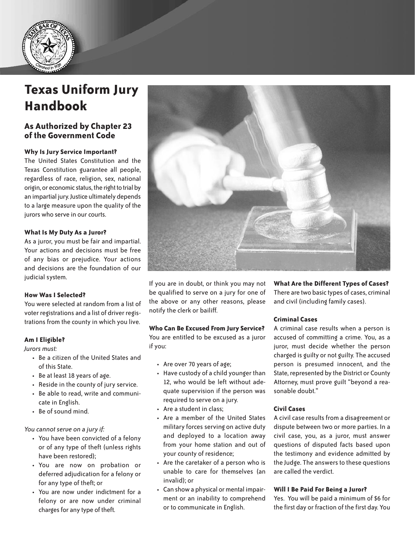

# **Texas Uniform Jury Handbook**

# **As Authorized by Chapter 23 of the Government Code**

# **Why Is Jury Service Important?**

The United States Constitution and the Texas Constitution guarantee all people, regardless of race, religion, sex, national origin, or economic status, the right to trial by an impartial jury. Justice ultimately depends to a large measure upon the quality of the jurors who serve in our courts.

#### **What Is My Duty As a Juror?**

As a juror, you must be fair and impartial. Your actions and decisions must be free of any bias or prejudice. Your actions and decisions are the foundation of our judicial system.

#### **How Was I Selected?**

You were selected at random from a list of voter registrations and a list of driver registrations from the county in which you live.

# **Am I Eligible?**

*Jurors must:*

- Be a citizen of the United States and of this State.
- Be at least 18 years of age.
- Reside in the county of jury service.
- Be able to read, write and communicate in English.
- Be of sound mind.

#### *You cannot serve on a jury if:*

- You have been convicted of a felony or of any type of theft (unless rights have been restored);
- You are now on probation or deferred adjudication for a felony or for any type of theft; or
- You are now under indictment for a felony or are now under criminal charges for any type of theft.



If you are in doubt, or think you may not be qualified to serve on a jury for one of the above or any other reasons, please notify the clerk or bailiff.

#### **Who Can Be Excused From Jury Service?**

You are entitled to be excused as a juror if you:

- Are over 70 years of age;
- Have custody of a child younger than 12, who would be left without adequate supervision if the person was required to serve on a jury.
- Are a student in class;
- Are a member of the United States military forces serving on active duty and deployed to a location away from your home station and out of your county of residence;
- Are the caretaker of a person who is unable to care for themselves (an invalid); or
- Can showa physical or mental impairment or an inability to comprehend or to communicate in English.

# **What Are the Different Types of Cases?**

There are two basic types of cases, criminal and civil (including family cases).

#### **Criminal Cases**

A criminal case results when a person is accused of committing a crime. You, as a juror, must decide whether the person charged is guilty or not guilty. The accused person is presumed innocent, and the State, represented by the District or County Attorney, must prove guilt "beyond a reasonable doubt."

#### **Civil Cases**

A civil case results from a disagreement or dispute between two or more parties. In a civil case, you, as a juror, must answer questions of disputed facts based upon the testimony and evidence admitted by the Judge. The answers to these questions are called the verdict.

#### **Will I Be Paid For Being a Juror?**

Yes. You will be paid a minimum of \$6 for the first day or fraction of the first day. You